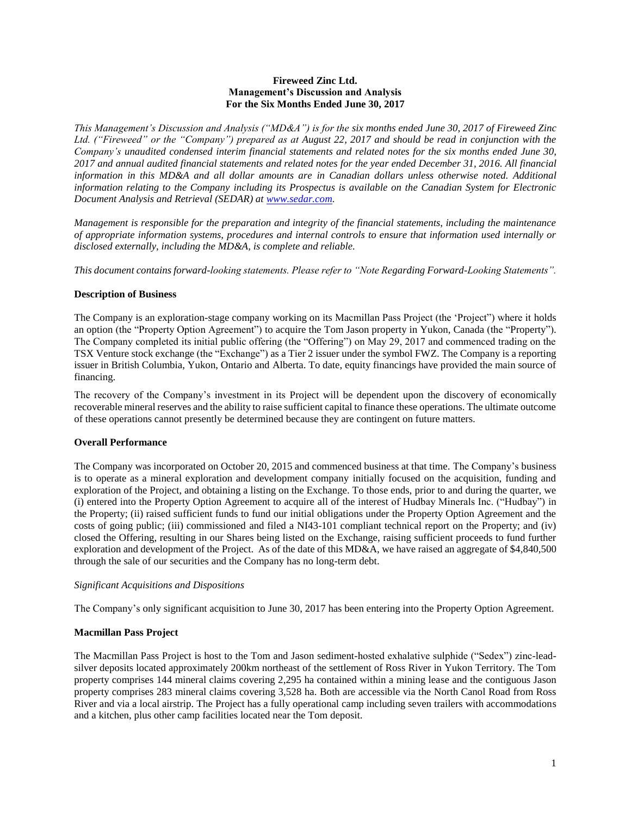### **Fireweed Zinc Ltd. Management's Discussion and Analysis For the Six Months Ended June 30, 2017**

*This Management's Discussion and Analysis ("MD&A") is for the six months ended June 30, 2017 of Fireweed Zinc Ltd. ("Fireweed" or the "Company") prepared as at August 22, 2017 and should be read in conjunction with the Company's unaudited condensed interim financial statements and related notes for the six months ended June 30, 2017 and annual audited financial statements and related notes for the year ended December 31, 2016. All financial information in this MD&A and all dollar amounts are in Canadian dollars unless otherwise noted. Additional information relating to the Company including its Prospectus is available on the Canadian System for Electronic Document Analysis and Retrieval (SEDAR) at [www.sedar.com.](http://www.sedar.com/)*

*Management is responsible for the preparation and integrity of the financial statements, including the maintenance of appropriate information systems, procedures and internal controls to ensure that information used internally or disclosed externally, including the MD&A, is complete and reliable.*

*This document contains forward-looking statements. Please refer to "Note Regarding Forward-Looking Statements".*

# **Description of Business**

The Company is an exploration-stage company working on its Macmillan Pass Project (the 'Project") where it holds an option (the "Property Option Agreement") to acquire the Tom Jason property in Yukon, Canada (the "Property"). The Company completed its initial public offering (the "Offering") on May 29, 2017 and commenced trading on the TSX Venture stock exchange (the "Exchange") as a Tier 2 issuer under the symbol FWZ. The Company is a reporting issuer in British Columbia, Yukon, Ontario and Alberta. To date, equity financings have provided the main source of financing.

The recovery of the Company's investment in its Project will be dependent upon the discovery of economically recoverable mineral reserves and the ability to raise sufficient capital to finance these operations. The ultimate outcome of these operations cannot presently be determined because they are contingent on future matters.

# **Overall Performance**

The Company was incorporated on October 20, 2015 and commenced business at that time. The Company's business is to operate as a mineral exploration and development company initially focused on the acquisition, funding and exploration of the Project, and obtaining a listing on the Exchange. To those ends, prior to and during the quarter, we (i) entered into the Property Option Agreement to acquire all of the interest of Hudbay Minerals Inc. ("Hudbay") in the Property; (ii) raised sufficient funds to fund our initial obligations under the Property Option Agreement and the costs of going public; (iii) commissioned and filed a NI43-101 compliant technical report on the Property; and (iv) closed the Offering, resulting in our Shares being listed on the Exchange, raising sufficient proceeds to fund further exploration and development of the Project. As of the date of this MD&A, we have raised an aggregate of \$4,840,500 through the sale of our securities and the Company has no long-term debt.

### *Significant Acquisitions and Dispositions*

The Company's only significant acquisition to June 30, 2017 has been entering into the Property Option Agreement.

# **Macmillan Pass Project**

The Macmillan Pass Project is host to the Tom and Jason sediment-hosted exhalative sulphide ("Sedex") zinc-leadsilver deposits located approximately 200km northeast of the settlement of Ross River in Yukon Territory. The Tom property comprises 144 mineral claims covering 2,295 ha contained within a mining lease and the contiguous Jason property comprises 283 mineral claims covering 3,528 ha. Both are accessible via the North Canol Road from Ross River and via a local airstrip. The Project has a fully operational camp including seven trailers with accommodations and a kitchen, plus other camp facilities located near the Tom deposit.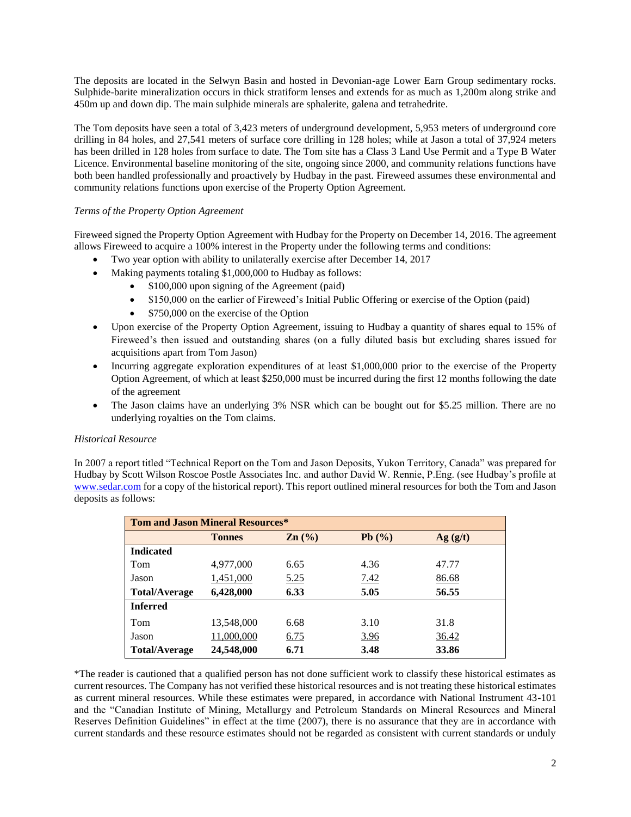The deposits are located in the Selwyn Basin and hosted in Devonian-age Lower Earn Group sedimentary rocks. Sulphide-barite mineralization occurs in thick stratiform lenses and extends for as much as 1,200m along strike and 450m up and down dip. The main sulphide minerals are sphalerite, galena and tetrahedrite.

The Tom deposits have seen a total of 3,423 meters of underground development, 5,953 meters of underground core drilling in 84 holes, and 27,541 meters of surface core drilling in 128 holes; while at Jason a total of 37,924 meters has been drilled in 128 holes from surface to date. The Tom site has a Class 3 Land Use Permit and a Type B Water Licence. Environmental baseline monitoring of the site, ongoing since 2000, and community relations functions have both been handled professionally and proactively by Hudbay in the past. Fireweed assumes these environmental and community relations functions upon exercise of the Property Option Agreement.

# *Terms of the Property Option Agreement*

Fireweed signed the Property Option Agreement with Hudbay for the Property on December 14, 2016. The agreement allows Fireweed to acquire a 100% interest in the Property under the following terms and conditions:

- Two year option with ability to unilaterally exercise after December 14, 2017
- Making payments totaling \$1,000,000 to Hudbay as follows:
	- \$100,000 upon signing of the Agreement (paid)
	- \$150,000 on the earlier of Fireweed's Initial Public Offering or exercise of the Option (paid)
	- \$750,000 on the exercise of the Option
- Upon exercise of the Property Option Agreement, issuing to Hudbay a quantity of shares equal to 15% of Fireweed's then issued and outstanding shares (on a fully diluted basis but excluding shares issued for acquisitions apart from Tom Jason)
- Incurring aggregate exploration expenditures of at least \$1,000,000 prior to the exercise of the Property Option Agreement, of which at least \$250,000 must be incurred during the first 12 months following the date of the agreement
- The Jason claims have an underlying 3% NSR which can be bought out for \$5.25 million. There are no underlying royalties on the Tom claims.

# *Historical Resource*

In 2007 a report titled "Technical Report on the Tom and Jason Deposits, Yukon Territory, Canada" was prepared for Hudbay by Scott Wilson Roscoe Postle Associates Inc. and author David W. Rennie, P.Eng. (see Hudbay's profile at [www.sedar.com](http://www.sedar.com/) for a copy of the historical report). This report outlined mineral resources for both the Tom and Jason deposits as follows:

| <b>Tom and Jason Mineral Resources*</b> |               |                   |             |         |  |  |  |  |  |
|-----------------------------------------|---------------|-------------------|-------------|---------|--|--|--|--|--|
|                                         | <b>Tonnes</b> | $\mathbf{Zn}$ (%) | Pb(%)       | Ag(g/t) |  |  |  |  |  |
| <b>Indicated</b>                        |               |                   |             |         |  |  |  |  |  |
| Tom                                     | 4,977,000     | 6.65              | 4.36        | 47.77   |  |  |  |  |  |
| Jason                                   | 1,451,000     | 5.25              | <u>7.42</u> | 86.68   |  |  |  |  |  |
| <b>Total/Average</b>                    | 6,428,000     | 6.33              | 5.05        | 56.55   |  |  |  |  |  |
| <b>Inferred</b>                         |               |                   |             |         |  |  |  |  |  |
| Tom                                     | 13,548,000    | 6.68              | 3.10        | 31.8    |  |  |  |  |  |
| Jason                                   | 11,000,000    | 6.75              | <u>3.96</u> | 36.42   |  |  |  |  |  |
| <b>Total/Average</b>                    | 24,548,000    | 6.71              | 3.48        | 33.86   |  |  |  |  |  |

\*The reader is cautioned that a qualified person has not done sufficient work to classify these historical estimates as current resources. The Company has not verified these historical resources and is not treating these historical estimates as current mineral resources. While these estimates were prepared, in accordance with National Instrument 43-101 and the "Canadian Institute of Mining, Metallurgy and Petroleum Standards on Mineral Resources and Mineral Reserves Definition Guidelines" in effect at the time (2007), there is no assurance that they are in accordance with current standards and these resource estimates should not be regarded as consistent with current standards or unduly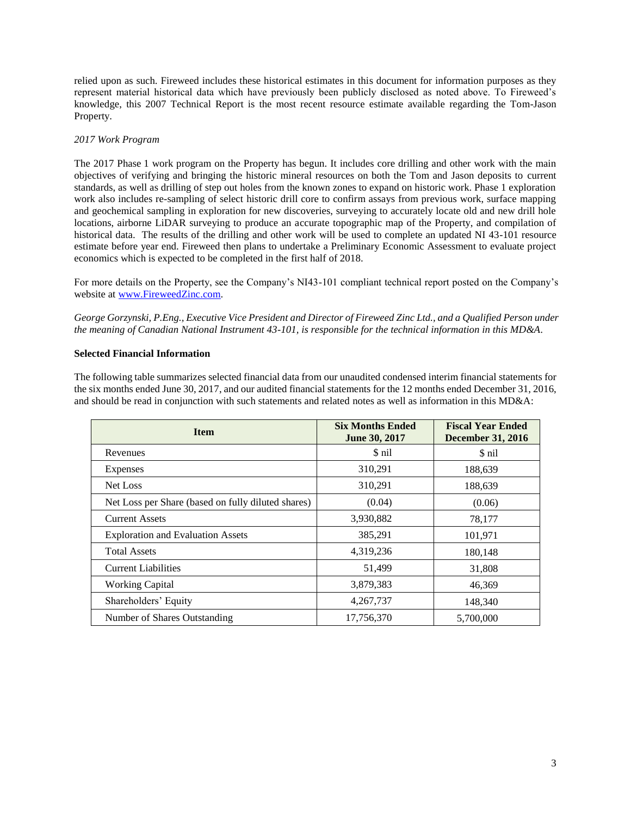relied upon as such. Fireweed includes these historical estimates in this document for information purposes as they represent material historical data which have previously been publicly disclosed as noted above. To Fireweed's knowledge, this 2007 Technical Report is the most recent resource estimate available regarding the Tom-Jason Property.

# *2017 Work Program*

The 2017 Phase 1 work program on the Property has begun. It includes core drilling and other work with the main objectives of verifying and bringing the historic mineral resources on both the Tom and Jason deposits to current standards, as well as drilling of step out holes from the known zones to expand on historic work. Phase 1 exploration work also includes re-sampling of select historic drill core to confirm assays from previous work, surface mapping and geochemical sampling in exploration for new discoveries, surveying to accurately locate old and new drill hole locations, airborne LiDAR surveying to produce an accurate topographic map of the Property, and compilation of historical data. The results of the drilling and other work will be used to complete an updated NI 43-101 resource estimate before year end. Fireweed then plans to undertake a Preliminary Economic Assessment to evaluate project economics which is expected to be completed in the first half of 2018.

For more details on the Property, see the Company's NI43-101 compliant technical report posted on the Company's website at [www.FireweedZinc.com.](http://www.fireweedzinc.com/)

*George Gorzynski, P.Eng., Executive Vice President and Director of Fireweed Zinc Ltd., and a Qualified Person under the meaning of Canadian National Instrument 43-101, is responsible for the technical information in this MD&A.*

### **Selected Financial Information**

The following table summarizes selected financial data from our unaudited condensed interim financial statements for the six months ended June 30, 2017, and our audited financial statements for the 12 months ended December 31, 2016, and should be read in conjunction with such statements and related notes as well as information in this MD&A:

| <b>Item</b>                                        | <b>Six Months Ended</b><br>June 30, 2017 | <b>Fiscal Year Ended</b><br><b>December 31, 2016</b> |  |
|----------------------------------------------------|------------------------------------------|------------------------------------------------------|--|
| Revenues                                           | \$ nil                                   | \$ nil                                               |  |
| Expenses                                           | 310,291                                  | 188,639                                              |  |
| Net Loss                                           | 310,291                                  | 188,639                                              |  |
| Net Loss per Share (based on fully diluted shares) | (0.04)                                   | (0.06)                                               |  |
| <b>Current Assets</b>                              | 3,930,882                                | 78,177                                               |  |
| <b>Exploration and Evaluation Assets</b>           | 385,291                                  | 101,971                                              |  |
| <b>Total Assets</b>                                | 4,319,236                                | 180,148                                              |  |
| <b>Current Liabilities</b>                         | 51,499                                   | 31,808                                               |  |
| <b>Working Capital</b>                             | 3,879,383                                | 46,369                                               |  |
| Shareholders' Equity                               | 4,267,737                                | 148,340                                              |  |
| Number of Shares Outstanding                       | 17,756,370                               | 5.700,000                                            |  |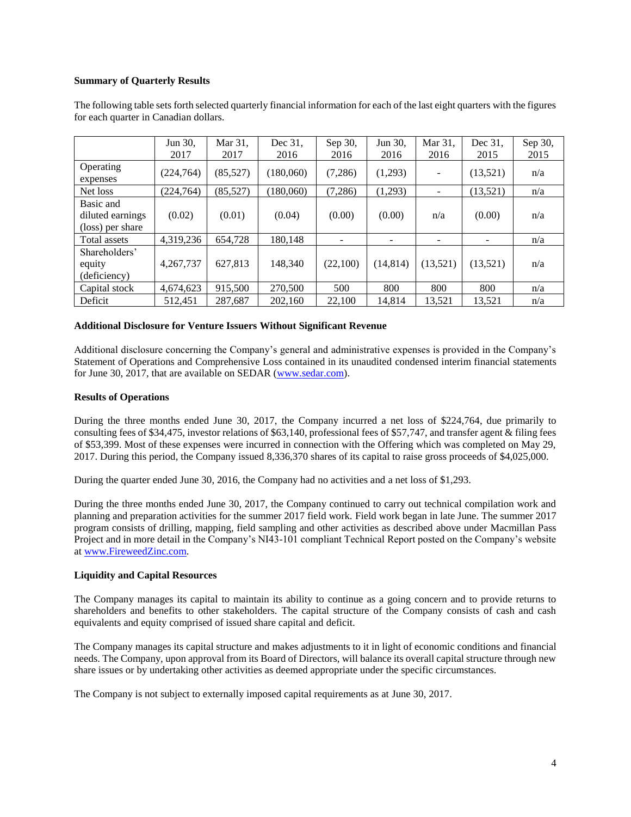# **Summary of Quarterly Results**

|                                                   | Jun 30,<br>2017 | Mar 31,<br>2017 | Dec 31.<br>2016 | Sep 30,<br>2016 | Jun 30,<br>2016 | Mar 31,<br>2016 | Dec 31.<br>2015 | Sep 30,<br>2015 |
|---------------------------------------------------|-----------------|-----------------|-----------------|-----------------|-----------------|-----------------|-----------------|-----------------|
| Operating<br>expenses                             | (224, 764)      | (85, 527)       | (180,060)       | (7,286)         | (1,293)         |                 | (13,521)        | n/a             |
| Net loss                                          | (224, 764)      | (85, 527)       | (180.060)       | (7,286)         | (1,293)         |                 | (13,521)        | n/a             |
| Basic and<br>diluted earnings<br>(loss) per share | (0.02)          | (0.01)          | (0.04)          | (0.00)          | (0.00)          | n/a             | (0.00)          | n/a             |
| Total assets                                      | 4,319,236       | 654,728         | 180.148         |                 | -               |                 |                 | n/a             |
| Shareholders'<br>equity<br>(deficiency)           | 4,267,737       | 627.813         | 148,340         | (22,100)        | (14, 814)       | (13,521)        | (13,521)        | n/a             |
| Capital stock                                     | 4,674,623       | 915,500         | 270,500         | 500             | 800             | 800             | 800             | n/a             |
| Deficit                                           | 512,451         | 287,687         | 202,160         | 22,100          | 14,814          | 13,521          | 13,521          | n/a             |

The following table sets forth selected quarterly financial information for each of the last eight quarters with the figures for each quarter in Canadian dollars.

### **Additional Disclosure for Venture Issuers Without Significant Revenue**

Additional disclosure concerning the Company's general and administrative expenses is provided in the Company's Statement of Operations and Comprehensive Loss contained in its unaudited condensed interim financial statements for June 30, 2017, that are available on SEDAR [\(www.sedar.com\)](http://www.sedar.com/).

### **Results of Operations**

During the three months ended June 30, 2017, the Company incurred a net loss of \$224,764, due primarily to consulting fees of \$34,475, investor relations of \$63,140, professional fees of \$57,747, and transfer agent & filing fees of \$53,399. Most of these expenses were incurred in connection with the Offering which was completed on May 29, 2017. During this period, the Company issued 8,336,370 shares of its capital to raise gross proceeds of \$4,025,000.

During the quarter ended June 30, 2016, the Company had no activities and a net loss of \$1,293.

During the three months ended June 30, 2017, the Company continued to carry out technical compilation work and planning and preparation activities for the summer 2017 field work. Field work began in late June. The summer 2017 program consists of drilling, mapping, field sampling and other activities as described above under Macmillan Pass Project and in more detail in the Company's NI43-101 compliant Technical Report posted on the Company's website a[t www.FireweedZinc.com.](http://www.fireweedzinc.com/)

# **Liquidity and Capital Resources**

The Company manages its capital to maintain its ability to continue as a going concern and to provide returns to shareholders and benefits to other stakeholders. The capital structure of the Company consists of cash and cash equivalents and equity comprised of issued share capital and deficit.

The Company manages its capital structure and makes adjustments to it in light of economic conditions and financial needs. The Company, upon approval from its Board of Directors, will balance its overall capital structure through new share issues or by undertaking other activities as deemed appropriate under the specific circumstances.

The Company is not subject to externally imposed capital requirements as at June 30, 2017.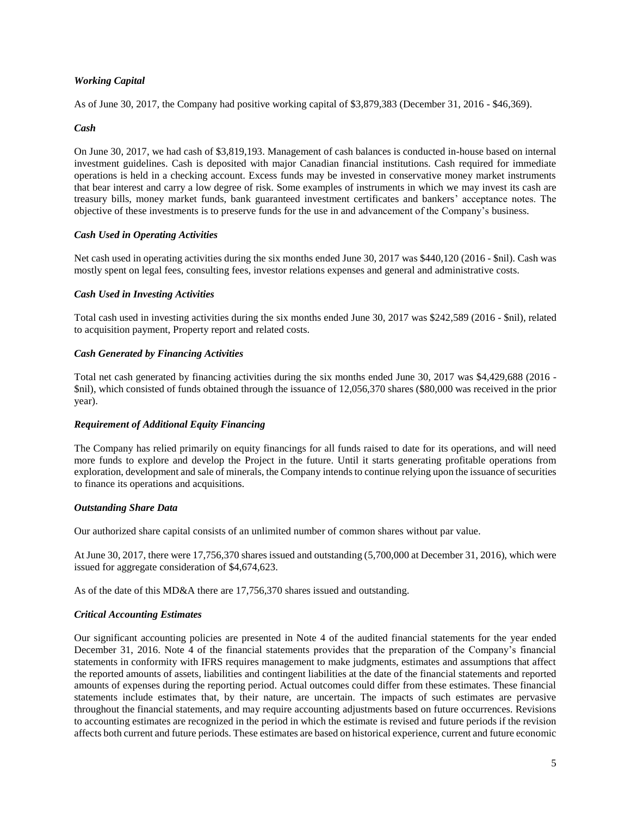# *Working Capital*

As of June 30, 2017, the Company had positive working capital of \$3,879,383 (December 31, 2016 - \$46,369).

### *Cash*

On June 30, 2017, we had cash of \$3,819,193. Management of cash balances is conducted in-house based on internal investment guidelines. Cash is deposited with major Canadian financial institutions. Cash required for immediate operations is held in a checking account. Excess funds may be invested in conservative money market instruments that bear interest and carry a low degree of risk. Some examples of instruments in which we may invest its cash are treasury bills, money market funds, bank guaranteed investment certificates and bankers' acceptance notes. The objective of these investments is to preserve funds for the use in and advancement of the Company's business.

# *Cash Used in Operating Activities*

Net cash used in operating activities during the six months ended June 30, 2017 was \$440,120 (2016 - \$nil). Cash was mostly spent on legal fees, consulting fees, investor relations expenses and general and administrative costs.

### *Cash Used in Investing Activities*

Total cash used in investing activities during the six months ended June 30, 2017 was \$242,589 (2016 - \$nil), related to acquisition payment, Property report and related costs.

### *Cash Generated by Financing Activities*

Total net cash generated by financing activities during the six months ended June 30, 2017 was \$4,429,688 (2016 - \$nil), which consisted of funds obtained through the issuance of 12,056,370 shares (\$80,000 was received in the prior year).

# *Requirement of Additional Equity Financing*

The Company has relied primarily on equity financings for all funds raised to date for its operations, and will need more funds to explore and develop the Project in the future. Until it starts generating profitable operations from exploration, development and sale of minerals, the Company intends to continue relying upon the issuance of securities to finance its operations and acquisitions.

### *Outstanding Share Data*

Our authorized share capital consists of an unlimited number of common shares without par value.

At June 30, 2017, there were 17,756,370 shares issued and outstanding (5,700,000 at December 31, 2016), which were issued for aggregate consideration of \$4,674,623.

As of the date of this MD&A there are 17,756,370 shares issued and outstanding.

# *Critical Accounting Estimates*

Our significant accounting policies are presented in Note 4 of the audited financial statements for the year ended December 31, 2016. Note 4 of the financial statements provides that the preparation of the Company's financial statements in conformity with IFRS requires management to make judgments, estimates and assumptions that affect the reported amounts of assets, liabilities and contingent liabilities at the date of the financial statements and reported amounts of expenses during the reporting period. Actual outcomes could differ from these estimates. These financial statements include estimates that, by their nature, are uncertain. The impacts of such estimates are pervasive throughout the financial statements, and may require accounting adjustments based on future occurrences. Revisions to accounting estimates are recognized in the period in which the estimate is revised and future periods if the revision affects both current and future periods. These estimates are based on historical experience, current and future economic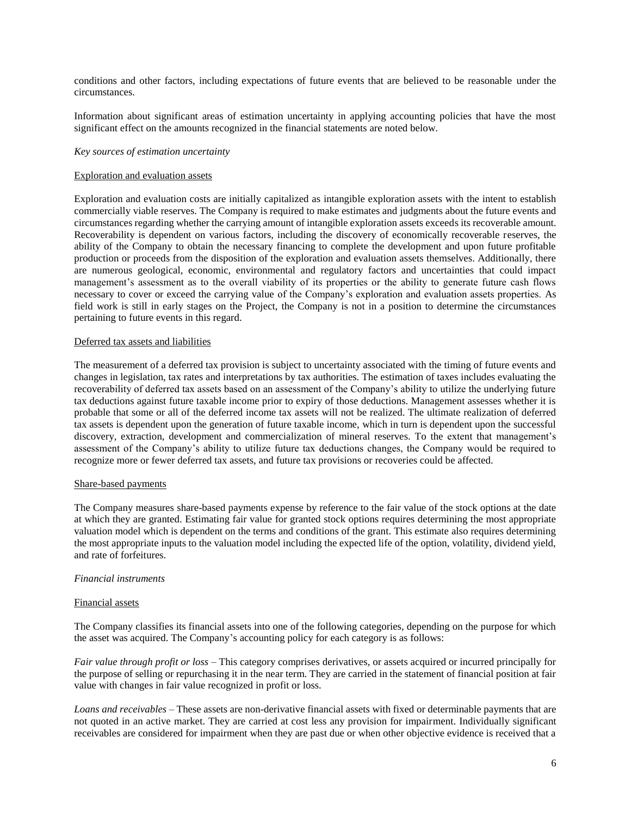conditions and other factors, including expectations of future events that are believed to be reasonable under the circumstances.

Information about significant areas of estimation uncertainty in applying accounting policies that have the most significant effect on the amounts recognized in the financial statements are noted below.

### *Key sources of estimation uncertainty*

### Exploration and evaluation assets

Exploration and evaluation costs are initially capitalized as intangible exploration assets with the intent to establish commercially viable reserves. The Company is required to make estimates and judgments about the future events and circumstances regarding whether the carrying amount of intangible exploration assets exceeds its recoverable amount. Recoverability is dependent on various factors, including the discovery of economically recoverable reserves, the ability of the Company to obtain the necessary financing to complete the development and upon future profitable production or proceeds from the disposition of the exploration and evaluation assets themselves. Additionally, there are numerous geological, economic, environmental and regulatory factors and uncertainties that could impact management's assessment as to the overall viability of its properties or the ability to generate future cash flows necessary to cover or exceed the carrying value of the Company's exploration and evaluation assets properties. As field work is still in early stages on the Project, the Company is not in a position to determine the circumstances pertaining to future events in this regard.

### Deferred tax assets and liabilities

The measurement of a deferred tax provision is subject to uncertainty associated with the timing of future events and changes in legislation, tax rates and interpretations by tax authorities. The estimation of taxes includes evaluating the recoverability of deferred tax assets based on an assessment of the Company's ability to utilize the underlying future tax deductions against future taxable income prior to expiry of those deductions. Management assesses whether it is probable that some or all of the deferred income tax assets will not be realized. The ultimate realization of deferred tax assets is dependent upon the generation of future taxable income, which in turn is dependent upon the successful discovery, extraction, development and commercialization of mineral reserves. To the extent that management's assessment of the Company's ability to utilize future tax deductions changes, the Company would be required to recognize more or fewer deferred tax assets, and future tax provisions or recoveries could be affected.

#### Share-based payments

The Company measures share-based payments expense by reference to the fair value of the stock options at the date at which they are granted. Estimating fair value for granted stock options requires determining the most appropriate valuation model which is dependent on the terms and conditions of the grant. This estimate also requires determining the most appropriate inputs to the valuation model including the expected life of the option, volatility, dividend yield, and rate of forfeitures.

### *Financial instruments*

#### Financial assets

The Company classifies its financial assets into one of the following categories, depending on the purpose for which the asset was acquired. The Company's accounting policy for each category is as follows:

*Fair value through profit or loss* – This category comprises derivatives, or assets acquired or incurred principally for the purpose of selling or repurchasing it in the near term. They are carried in the statement of financial position at fair value with changes in fair value recognized in profit or loss.

*Loans and receivables* – These assets are non-derivative financial assets with fixed or determinable payments that are not quoted in an active market. They are carried at cost less any provision for impairment. Individually significant receivables are considered for impairment when they are past due or when other objective evidence is received that a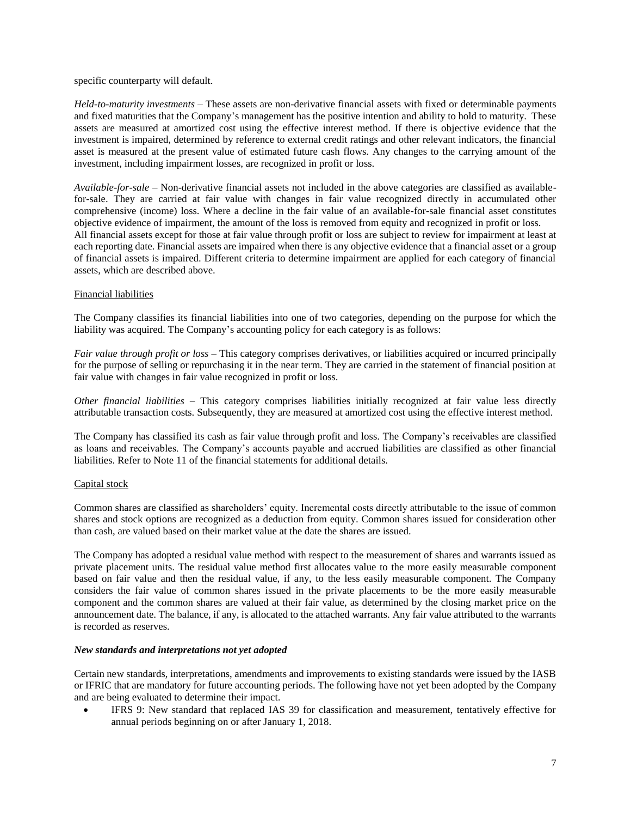specific counterparty will default.

*Held-to-maturity investments* – These assets are non-derivative financial assets with fixed or determinable payments and fixed maturities that the Company's management has the positive intention and ability to hold to maturity. These assets are measured at amortized cost using the effective interest method. If there is objective evidence that the investment is impaired, determined by reference to external credit ratings and other relevant indicators, the financial asset is measured at the present value of estimated future cash flows. Any changes to the carrying amount of the investment, including impairment losses, are recognized in profit or loss.

*Available-for-sale* – Non-derivative financial assets not included in the above categories are classified as availablefor-sale. They are carried at fair value with changes in fair value recognized directly in accumulated other comprehensive (income) loss. Where a decline in the fair value of an available-for-sale financial asset constitutes objective evidence of impairment, the amount of the loss is removed from equity and recognized in profit or loss. All financial assets except for those at fair value through profit or loss are subject to review for impairment at least at each reporting date. Financial assets are impaired when there is any objective evidence that a financial asset or a group of financial assets is impaired. Different criteria to determine impairment are applied for each category of financial assets, which are described above.

### Financial liabilities

The Company classifies its financial liabilities into one of two categories, depending on the purpose for which the liability was acquired. The Company's accounting policy for each category is as follows:

*Fair value through profit or loss* – This category comprises derivatives, or liabilities acquired or incurred principally for the purpose of selling or repurchasing it in the near term. They are carried in the statement of financial position at fair value with changes in fair value recognized in profit or loss.

*Other financial liabilities* – This category comprises liabilities initially recognized at fair value less directly attributable transaction costs. Subsequently, they are measured at amortized cost using the effective interest method.

The Company has classified its cash as fair value through profit and loss. The Company's receivables are classified as loans and receivables. The Company's accounts payable and accrued liabilities are classified as other financial liabilities. Refer to Note 11 of the financial statements for additional details.

# Capital stock

Common shares are classified as shareholders' equity. Incremental costs directly attributable to the issue of common shares and stock options are recognized as a deduction from equity. Common shares issued for consideration other than cash, are valued based on their market value at the date the shares are issued.

The Company has adopted a residual value method with respect to the measurement of shares and warrants issued as private placement units. The residual value method first allocates value to the more easily measurable component based on fair value and then the residual value, if any, to the less easily measurable component. The Company considers the fair value of common shares issued in the private placements to be the more easily measurable component and the common shares are valued at their fair value, as determined by the closing market price on the announcement date. The balance, if any, is allocated to the attached warrants. Any fair value attributed to the warrants is recorded as reserves.

### *New standards and interpretations not yet adopted*

Certain new standards, interpretations, amendments and improvements to existing standards were issued by the IASB or IFRIC that are mandatory for future accounting periods. The following have not yet been adopted by the Company and are being evaluated to determine their impact.

IFRS 9: New standard that replaced IAS 39 for classification and measurement, tentatively effective for annual periods beginning on or after January 1, 2018.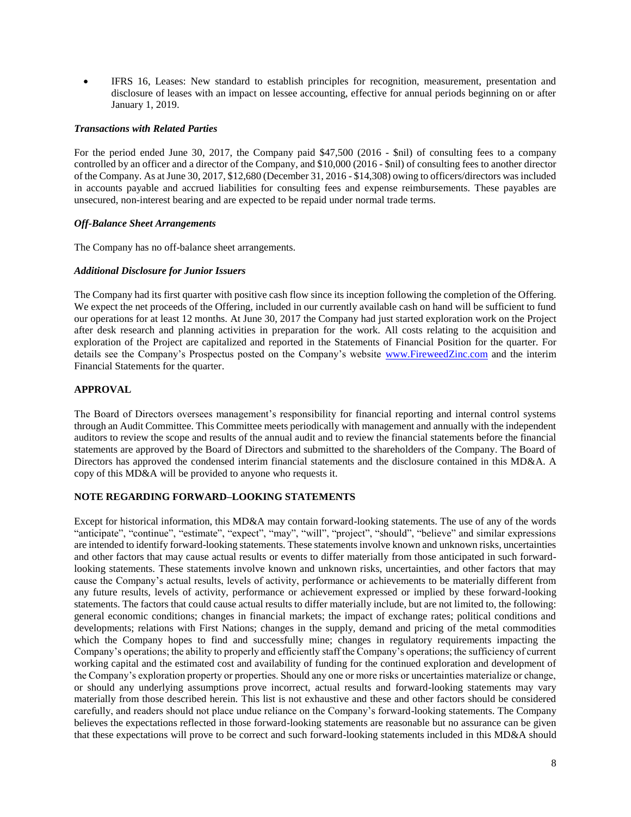• IFRS 16, Leases: New standard to establish principles for recognition, measurement, presentation and disclosure of leases with an impact on lessee accounting, effective for annual periods beginning on or after January 1, 2019.

### *Transactions with Related Parties*

For the period ended June 30, 2017, the Company paid \$47,500 (2016 - \$nil) of consulting fees to a company controlled by an officer and a director of the Company, and \$10,000 (2016 - \$nil) of consulting fees to another director of the Company. As at June 30, 2017, \$12,680 (December 31, 2016 - \$14,308) owing to officers/directors was included in accounts payable and accrued liabilities for consulting fees and expense reimbursements. These payables are unsecured, non-interest bearing and are expected to be repaid under normal trade terms.

### *Off-Balance Sheet Arrangements*

The Company has no off-balance sheet arrangements.

### *Additional Disclosure for Junior Issuers*

The Company had its first quarter with positive cash flow since its inception following the completion of the Offering. We expect the net proceeds of the Offering, included in our currently available cash on hand will be sufficient to fund our operations for at least 12 months. At June 30, 2017 the Company had just started exploration work on the Project after desk research and planning activities in preparation for the work. All costs relating to the acquisition and exploration of the Project are capitalized and reported in the Statements of Financial Position for the quarter. For details see the Company's Prospectus posted on the Company's website [www.FireweedZinc.com](http://www.fireweedzinc.com/) and the interim Financial Statements for the quarter.

### **APPROVAL**

The Board of Directors oversees management's responsibility for financial reporting and internal control systems through an Audit Committee. This Committee meets periodically with management and annually with the independent auditors to review the scope and results of the annual audit and to review the financial statements before the financial statements are approved by the Board of Directors and submitted to the shareholders of the Company. The Board of Directors has approved the condensed interim financial statements and the disclosure contained in this MD&A. A copy of this MD&A will be provided to anyone who requests it.

# **NOTE REGARDING FORWARD–LOOKING STATEMENTS**

Except for historical information, this MD&A may contain forward-looking statements. The use of any of the words "anticipate", "continue", "estimate", "expect", "may", "will", "project", "should", "believe" and similar expressions are intended to identify forward-looking statements. These statements involve known and unknown risks, uncertainties and other factors that may cause actual results or events to differ materially from those anticipated in such forwardlooking statements. These statements involve known and unknown risks, uncertainties, and other factors that may cause the Company's actual results, levels of activity, performance or achievements to be materially different from any future results, levels of activity, performance or achievement expressed or implied by these forward-looking statements. The factors that could cause actual results to differ materially include, but are not limited to, the following: general economic conditions; changes in financial markets; the impact of exchange rates; political conditions and developments; relations with First Nations; changes in the supply, demand and pricing of the metal commodities which the Company hopes to find and successfully mine; changes in regulatory requirements impacting the Company's operations; the ability to properly and efficiently staff the Company's operations; the sufficiency of current working capital and the estimated cost and availability of funding for the continued exploration and development of the Company's exploration property or properties. Should any one or more risks or uncertainties materialize or change, or should any underlying assumptions prove incorrect, actual results and forward-looking statements may vary materially from those described herein. This list is not exhaustive and these and other factors should be considered carefully, and readers should not place undue reliance on the Company's forward-looking statements. The Company believes the expectations reflected in those forward-looking statements are reasonable but no assurance can be given that these expectations will prove to be correct and such forward-looking statements included in this MD&A should